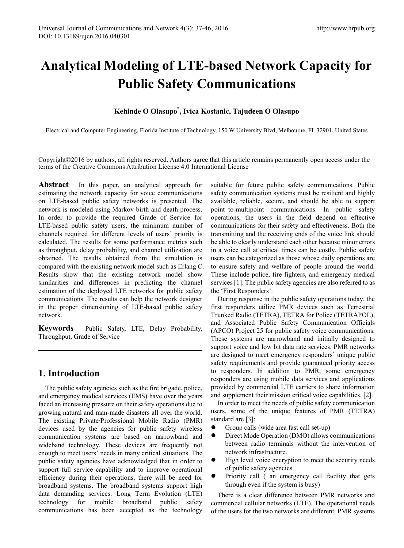# **Analytical Modeling of LTE-based Network Capacity for Public Safety Communications**

# **Kehinde O Olasupo\* , Ivica Kostanic, Tajudeen O Olasupo**

Electrical and Computer Engineering, Florida Institute of Technology, 150 W University Blvd, Melbourne, FL 32901, United States

Copyright©2016 by authors, all rights reserved. Authors agree that this article remains permanently open access under the terms of the Creative Commons Attribution License 4.0 International License

**Abstract** In this paper, an analytical approach for estimating the network capacity for voice communications on LTE-based public safety networks is presented. The network is modeled using Markov birth and death process. In order to provide the required Grade of Service for LTE-based public safety users, the minimum number of channels required for different levels of users' priority is calculated. The results for some performance metrics such as throughput, delay probability, and channel utilization are obtained. The results obtained from the simulation is compared with the existing network model such as Erlang C. Results show that the existing network model show similarities and differences in predicting the channel estimation of the deployed LTE networks for public safety communications. The results can help the network designer in the proper dimensioning of LTE-based public safety network.

**Keywords** Public Safety, LTE, Delay Probability, Throughput, Grade of Service

# **1. Introduction**

The public safety agencies such as the fire brigade, police, and emergency medical services (EMS) have over the years faced an increasing pressure on their safety operations due to growing natural and man-made disasters all over the world. The existing Private/Professional Mobile Radio (PMR) devices used by the agencies for public safety wireless communication systems are based on narrowband and wideband technology. These devices are frequently not enough to meet users' needs in many critical situations. The public safety agencies have acknowledged that in order to support full service capability and to improve operational efficiency during their operations, there will be need for broadband systems. The broadband systems support high data demanding services. Long Term Evolution (LTE) technology for mobile broadband public safety communications has been accepted as the technology

suitable for future public safety communications. Public safety communication systems must be resilient and highly available, reliable, secure, and should be able to support point–to-multipoint communications. In public safety operations, the users in the field depend on effective communications for their safety and effectiveness. Both the transmitting and the receiving ends of the voice link should be able to clearly understand each other because minor errors in a voice call at critical times can be costly. Public safety users can be categorized as those whose daily operations are to ensure safety and welfare of people around the world. These include police, fire fighters, and emergency medical services [1]. The public safety agencies are also referred to as the 'First Responders'.

During response in the public safety operations today, the first responders utilize PMR devices such as Terrestrial Trunked Radio (TETRA), TETRA for Police (TETRAPOL), and Associated Public Safety Communication Officials (APCO) Project 25 for public safety voice communications. These systems are narrowband and initially designed to support voice and low bit data rate services. PMR networks are designed to meet emergency responders' unique public safety requirements and provide guaranteed priority access to responders. In addition to PMR, some emergency responders are using mobile data services and applications provided by commercial LTE carriers to share information and supplement their mission critical voice capabilities. [2].

In order to meet the needs of public safety communication users, some of the unique features of PMR (TETRA) standard are [3]:

- Group calls (wide area fast call set-up)
- Direct Mode Operation (DMO) allows communications between radio terminals without the intervention of network infrastructure.
- $\bullet$  High level voice encryption to meet the security needs of public safety agencies
- Priority call ( an emergency call facility that gets through even if the system is busy)

There is a clear difference between PMR networks and commercial cellular networks (LTE). The operational needs of the users for the two networks are different. PMR systems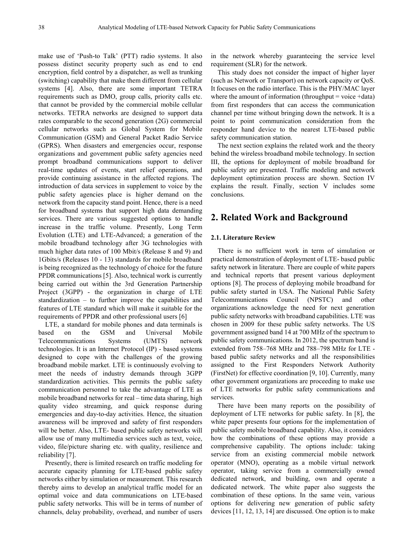make use of 'Push-to Talk' (PTT) radio systems. It also possess distinct security property such as end to end encryption, field control by a dispatcher, as well as trunking (switching) capability that make them different from cellular systems [4]. Also, there are some important TETRA requirements such as DMO, group calls, priority calls etc. that cannot be provided by the commercial mobile cellular networks. TETRA networks are designed to support data rates comparable to the second generation (2G) commercial cellular networks such as Global System for Mobile Communication (GSM) and General Packet Radio Service (GPRS). When disasters and emergencies occur, response organizations and government public safety agencies need prompt broadband communications support to deliver real-time updates of events, start relief operations, and provide continuing assistance in the affected regions. The introduction of data services in supplement to voice by the public safety agencies place is higher demand on the network from the capacity stand point. Hence, there is a need for broadband systems that support high data demanding services. There are various suggested options to handle increase in the traffic volume. Presently, Long Term Evolution (LTE) and LTE-Advanced; a generation of the mobile broadband technology after 3G technologies with much higher data rates of 100 Mbit/s (Release 8 and 9) and 1Gbits/s (Releases 10 - 13) standards for mobile broadband is being recognized as the technology of choice for the future PPDR communications [5]. Also, technical work is currently being carried out within the 3rd Generation Partnership Project (3GPP) - the organization in charge of LTE standardization – to further improve the capabilities and features of LTE standard which will make it suitable for the requirements of PPDR and other professional users [6]

LTE, a standard for mobile phones and data terminals is based on the GSM and Universal Mobile Telecommunications Systems (UMTS) network technologies. It is an Internet Protocol (IP) - based systems designed to cope with the challenges of the growing broadband mobile market. LTE is continuously evolving to meet the needs of industry demands through 3GPP standardization activities. This permits the public safety communication personnel to take the advantage of LTE as mobile broadband networks for real – time data sharing, high quality video streaming, and quick response during emergencies and day-to-day activities. Hence, the situation awareness will be improved and safety of first responders will be better. Also, LTE- based public safety networks will allow use of many multimedia services such as text, voice, video, file/picture sharing etc. with quality, resilience and reliability [7].

Presently, there is limited research on traffic modeling for accurate capacity planning for LTE-based public safety networks either by simulation or measurement. This research thereby aims to develop an analytical traffic model for an optimal voice and data communications on LTE-based public safety networks. This will be in terms of number of channels, delay probability, overhead, and number of users

in the network whereby guaranteeing the service level requirement (SLR) for the network.

This study does not consider the impact of higher layer (such as Network or Transport) on network capacity or QoS. It focuses on the radio interface. This is the PHY/MAC layer where the amount of information (throughput  $=$  voice  $+$ data) from first responders that can access the communication channel per time without bringing down the network. It is a point to point communication consideration from the responder hand device to the nearest LTE-based public safety communication station.

The next section explains the related work and the theory behind the wireless broadband mobile technology. In section III, the options for deployment of mobile broadband for public safety are presented. Traffic modeling and network deployment optimization process are shown. Section IV explains the result. Finally, section V includes some conclusions.

# **2. Related Work and Background**

### **2.1. Literature Review**

There is no sufficient work in term of simulation or practical demonstration of deployment of LTE- based public safety network in literature. There are couple of white papers and technical reports that present various deployment options [8]. The process of deploying mobile broadband for public safety started in USA. The National Public Safety Telecommunications Council (NPSTC) and other organizations acknowledge the need for next generation public safety networks with broadband capabilities. LTE was chosen in 2009 for these public safety networks. The US government assigned band 14 at 700 MHz of the spectrum to public safety communications. In 2012, the spectrum band is extended from 758–768 MHz and 788–798 MHz for LTE based public safety networks and all the responsibilities assigned to the First Responders Network Authority (FirstNet) for effective coordination [9, 10]. Currently, many other government organizations are proceeding to make use of LTE networks for public safety communications and services.

There have been many reports on the possibility of deployment of LTE networks for public safety. In [8], the white paper presents four options for the implementation of public safety mobile broadband capability. Also, it considers how the combinations of these options may provide a comprehensive capability. The options include: taking service from an existing commercial mobile network operator (MNO), operating as a mobile virtual network operator, taking service from a commercially owned dedicated network, and building, own and operate a dedicated network. The white paper also suggests the combination of these options. In the same vein, various options for delivering new generation of public safety devices [11, 12, 13, 14] are discussed. One option is to make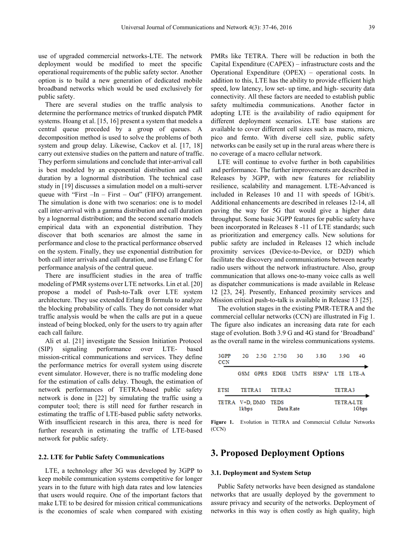use of upgraded commercial networks-LTE. The network deployment would be modified to meet the specific operational requirements of the public safety sector. Another option is to build a new generation of dedicated mobile broadband networks which would be used exclusively for public safety.

There are several studies on the traffic analysis to determine the performance metrics of trunked dispatch PMR systems. Hoang et al. [15, 16] present a system that models a central queue preceded by a group of queues. A decomposition method is used to solve the problems of both system and group delay. Likewise, Cackov et al. [17, 18] carry out extensive studies on the pattern and nature of traffic. They perform simulations and conclude that inter-arrival call is best modeled by an exponential distribution and call duration by a lognormal distribution. The technical case study in [19] discusses a simulation model on a multi-server queue with "First  $-In - First - Out$ " (FIFO) arrangement. The simulation is done with two scenarios: one is to model call inter-arrival with a gamma distribution and call duration by a lognormal distribution; and the second scenario models empirical data with an exponential distribution. They discover that both scenarios are almost the same in performance and close to the practical performance observed on the system. Finally, they use exponential distribution for both call inter arrivals and call duration, and use Erlang C for performance analysis of the central queue.

There are insufficient studies in the area of traffic modeling of PMR systems over LTE networks. Lin et al. [20] propose a model of Push-to-Talk over LTE system architecture. They use extended Erlang B formula to analyze the blocking probability of calls. They do not consider what traffic analysis would be when the calls are put in a queue instead of being blocked, only for the users to try again after each call failure.

Ali et al. [21] investigate the Session Initiation Protocol (SIP) signaling performance over LTE- based mission-critical communications and services. They define the performance metrics for overall system using discrete event simulator. However, there is no traffic modeling done for the estimation of calls delay. Though, the estimation of network performances of TETRA-based public safety network is done in [22] by simulating the traffic using a computer tool; there is still need for further research in estimating the traffic of LTE-based public safety networks. With insufficient research in this area, there is need for further research in estimating the traffic of LTE-based network for public safety.

### **2.2. LTE for Public Safety Communications**

LTE, a technology after 3G was developed by 3GPP to keep mobile communication systems competitive for longer years in to the future with high data rates and low latencies that users would require. One of the important factors that make LTE to be desired for mission critical communications is the economies of scale when compared with existing

PMRs like TETRA. There will be reduction in both the Capital Expenditure (CAPEX) – infrastructure costs and the Operational Expenditure (OPEX) – operational costs. In addition to this, LTE has the ability to provide efficient high speed, low latency, low set- up time, and high- security data connectivity. All these factors are needed to establish public safety multimedia communications. Another factor in adopting LTE is the availability of radio equipment for different deployment scenarios. LTE base stations are available to cover different cell sizes such as macro, micro, pico and femto. With diverse cell size, public safety networks can be easily set up in the rural areas where there is no coverage of a macro cellular network.

LTE will continue to evolve further in both capabilities and performance. The further improvements are described in Releases by 3GPP, with new features for reliability resilience, scalability and management. LTE-Advanced is included in Releases 10 and 11 with speeds of 1Gbit/s. Additional enhancements are described in releases 12-14, all paving the way for 5G that would give a higher data throughput. Some basic 3GPP features for public safety have been incorporated in Releases 8 -11 of LTE standards; such as prioritization and emergency calls. New solutions for public safety are included in Releases 12 which include proximity services (Device-to-Device, or D2D) which facilitate the discovery and communications between nearby radio users without the network infrastructure. Also, group communication that allows one-to-many voice calls as well as dispatcher communications is made available in Release 12 [23, 24]. Presently, Enhanced proximity services and Mission critical push-to-talk is available in Release 13 [25].

The evolution stages in the existing PMR-TETRA and the commercial cellular networks (CCN) are illustrated in Fig 1. The figure also indicates an increasing data rate for each stage of evolution. Both 3.9 G and 4G stand for 'Broadband' as the overall name in the wireless communications systems.

| 3GPP<br><b>CCN</b>  |        |  | 2G 2.5G 2.75G 3G |  | 3.8G                                           | 3.9G                       | 4G |
|---------------------|--------|--|------------------|--|------------------------------------------------|----------------------------|----|
|                     |        |  |                  |  | GSM GPRS EDGE UMTS HSPA <sup>+</sup> LTE LTE-A |                            |    |
| ETSI                | TETRA1 |  | TETR A 2         |  |                                                | TETRA3                     |    |
| TETRA V+D. DMO TEDS | 1kbps  |  | Data Rate        |  |                                                | <b>TETRA-LTE</b><br>1 Gbps |    |

**Figure 1.** Evolution in TETRA and Commercial Cellular Networks (CCN)

# **3. Proposed Deployment Options**

#### **3.1. Deployment and System Setup**

Public Safety networks have been designed as standalone networks that are usually deployed by the government to assure privacy and security of the networks. Deployment of networks in this way is often costly as high quality, high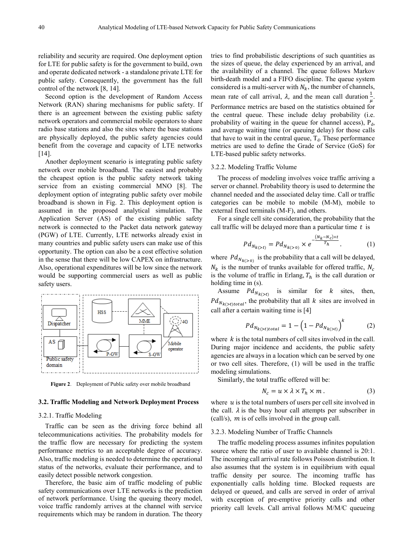reliability and security are required. One deployment option for LTE for public safety is for the government to build, own and operate dedicated network - a standalone private LTE for public safety. Consequently, the government has the full control of the network [8, 14].

Second option is the development of Random Access Network (RAN) sharing mechanisms for public safety. If there is an agreement between the existing public safety network operators and commercial mobile operators to share radio base stations and also the sites where the base stations are physically deployed, the public safety agencies could benefit from the coverage and capacity of LTE networks  $[14]$ .

Another deployment scenario is integrating public safety network over mobile broadband. The easiest and probably the cheapest option is the public safety network taking service from an existing commercial MNO [8]. The deployment option of integrating public safety over mobile broadband is shown in Fig. 2. This deployment option is assumed in the proposed analytical simulation. The Application Server (AS) of the existing public safety network is connected to the Packet data network gateway (PGW) of LTE. Currently, LTE networks already exist in many countries and public safety users can make use of this opportunity. The option can also be a cost effective solution in the sense that there will be low CAPEX on infrastructure. Also, operational expenditures will be low since the network would be supporting commercial users as well as public safety users.



**Figure 2**. Deployment of Public safety over mobile broadband

#### **3.2. Traffic Modeling and Network Deployment Process**

### 3.2.1. Traffic Modeling

Traffic can be seen as the driving force behind all telecommunications activities. The probability models for the traffic flow are necessary for predicting the system performance metrics to an acceptable degree of accuracy. Also, traffic modeling is needed to determine the operational status of the networks, evaluate their performance, and to easily detect possible network congestion.

Therefore, the basic aim of traffic modeling of public safety communications over LTE networks is the prediction of network performance. Using the queuing theory model, voice traffic randomly arrives at the channel with service requirements which may be random in duration. The theory

tries to find probabilistic descriptions of such quantities as the sizes of queue, the delay experienced by an arrival, and the availability of a channel. The queue follows Markov birth-death model and a FIFO discipline. The queue system considered is a multi-server with  $N_k$ , the number of channels, mean rate of call arrival,  $\lambda$ , and the mean call duration  $\frac{1}{\mu}$ . Performance metrics are based on the statistics obtained for the central queue. These include delay probability (i.e. probability of waiting in the queue for channel access),  $P<sub>d</sub>$ , and average waiting time (or queuing delay) for those calls

that have to wait in the central queue,  $T<sub>d</sub>$ . These performance metrics are used to define the Grade of Service (GoS) for

### 3.2.2. Modeling Traffic Volume

LTE-based public safety networks.

The process of modeling involves voice traffic arriving a server or channel. Probability theory is used to determine the channel needed and the associated delay time. Call or traffic categories can be mobile to mobile (M-M), mobile to external fixed terminals (M-F), and others.

For a single cell site consideration, the probability that the call traffic will be delayed more than a particular time  $t$  is

$$
P d_{N_{k}(>t)} = P d_{N_{k}(>0)} \times e^{-\frac{(N_k - N_c)\times t}{T_h}}.
$$
 (1)

where  $Pd_{N_{k}(>0)}$  is the probability that a call will be delayed,  $N_k$  is the number of trunks available for offered traffic,  $N_c$ is the volume of traffic in Erlang,  $T_h$  is the call duration or holding time in (s).

Assume  $Pd_{N_k(z_t)}$  is similar for k sites, then,  $Pd_{N_{k}(>t) total}$ , the probability that all k sites are involved in call after a certain waiting time is [4]

$$
Pd_{N_{k}(>t)total} = 1 - \left(1 - Pd_{N_{k}(>t)}\right)^{k} \tag{2}
$$

where  $k$  is the total numbers of cell sites involved in the call. During major incidence and accidents, the public safety agencies are always in a location which can be served by one or two cell sites. Therefore, (1) will be used in the traffic modeling simulations.

Similarly, the total traffic offered will be:

$$
N_c = u \times \lambda \times T_h \times m \,. \tag{3}
$$

where  $u$  is the total numbers of users per cell site involved in the call.  $\lambda$  is the busy hour call attempts per subscriber in (call/s),  $m$  is of cells involved in the group call.

#### 3.2.3. Modeling Number of Traffic Channels

The traffic modeling process assumes infinites population source where the ratio of user to available channel is 20:1. The incoming call arrival rate follows Poisson distribution. It also assumes that the system is in equilibrium with equal traffic density per source. The incoming traffic has exponentially calls holding time. Blocked requests are delayed or queued, and calls are served in order of arrival with exception of pre-emptive priority calls and other priority call levels. Call arrival follows M/M/C queueing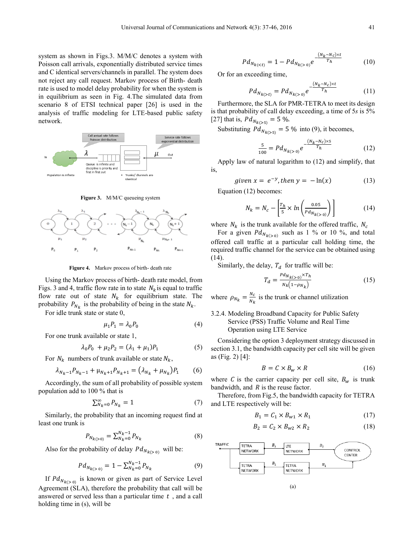system as shown in Figs.3. M/M/C denotes a system with Poisson call arrivals, exponentially distributed service times and C identical servers/channels in parallel. The system does not reject any call request. Markov process of Birth- death rate is used to model delay probability for when the system is in equilibrium as seen in Fig. 4.The simulated data from scenario 8 of ETSI technical paper [26] is used in the analysis of traffic modeling for LTE-based public safety network.



**Figure 3.** M/M/C queueing system



**Figure 4.** Markov process of birth- death rate

Using the Markov process of birth- death rate model, from Figs. 3 and 4, traffic flow rate in to state  $N_k$  is equal to traffic flow rate out of state  $N_k$  for equilibrium state. The probability  $P_{N_k}$  is the probability of being in the state  $N_k$ .

For idle trunk state or state 0,

$$
\mu_1 P_1 = \lambda_0 P_0 \tag{4}
$$

For one trunk available or state 1,

$$
\lambda_0 P_0 + \mu_2 P_2 = (\lambda_1 + \mu_1) P_1 \tag{5}
$$

For  $N_k$  numbers of trunk available or state  $N_k$ ,

$$
\lambda_{N_k - 1} P_{N_k - 1} + \mu_{N_k + 1} P_{N_k + 1} = (\lambda_{N_k} + \mu_{N_k}) P_1 \tag{6}
$$

Accordingly, the sum of all probability of possible system population add to 100 % that is

$$
\sum_{N_k=0}^{\infty} P_{N_k} = 1 \tag{7}
$$

Similarly, the probability that an incoming request find at least one trunk is

$$
P_{N_{k}(>0)} = \sum_{N_k=0}^{N_k-1} P_{N_k}
$$
 (8)

Also for the probability of delay  $Pd_{N_{k}(> 0)}$  will be:

$$
P d_{N_{k(\geq 0)}} = 1 - \sum_{N_k=0}^{N_k-1} P_{N_k}
$$
 (9)

If  $Pd_{N_{k}(>0)}$  is known or given as part of Service Level Agreement (SLA), therefore the probability that call will be answered or served less than a particular time  $t$ , and a call holding time in (s), will be

$$
P d_{N_{k(0)}} e^{-\frac{(N_k - N_c)x}{T_h}}
$$
(10)

Or for an exceeding time,

$$
P d_{N_{k}(>t)} = P d_{N_{k}(>0)} e^{-\frac{(N_k - N_c) \times t}{T_h}}
$$
(11)

Furthermore, the SLA for PMR-TETRA to meet its design is that probability of call delay exceeding, a time of 5*s* is 5% [27] that is,  $Pd_{N_{k}(>5)} = 5 \%$ .

Substituting  $Pd_{N_{k}(>5)} = 5 \%$  into (9), it becomes,

$$
\frac{5}{100} = P d_{N_{k(>0)}} e^{-\frac{(N_k - N_c) \times 5}{T_h}}
$$
(12)

Apply law of natural logarithm to (12) and simplify, that is,

$$
given x = e^{-y}, then y = -\ln(x) \tag{13}
$$

Equation (12) becomes:

$$
N_k = N_c - \left[\frac{r_h}{5} \times \ln\left(\frac{0.05}{P d_{N_{k(s_0)}}}\right)\right]
$$
 (14)

where  $N_k$  is the trunk available for the offered traffic,  $N_c$ 

For a given  $Pd_{N_{k}(>0)}$  such as 1 % or 10 %, and total offered call traffic at a particular call holding time, the required traffic channel for the service can be obtained using (14).

Similarly, the delay,  $T_d$  for traffic will be:

$$
T_d = \frac{P d_{N_k(s_0)} \times T_h}{N_k(1 - \rho_{N_k})}
$$
(15)

where  $\rho_{N_k} = \frac{N_c}{N_k}$  is the trunk or channel utilization

# 3.2.4. Modeling Broadband Capacity for Public Safety Service (PSS) Traffic Volume and Real Time Operation using LTE Service

Considering the option 3 deployment strategy discussed in section 3.1, the bandwidth capacity per cell site will be given as (Fig. 2) [4]:

$$
B = C \times B_w \times R \tag{16}
$$

where C is the carrier capacity per cell site,  $B_w$  is trunk bandwidth, and  $R$  is the reuse factor.

Therefore, from Fig.5, the bandwidth capacity for TETRA and LTE respectively will be:

$$
B_1 = C_1 \times B_{w1} \times R_1 \tag{17}
$$

$$
B_2 = C_2 \times B_{w2} \times R_2 \tag{18}
$$

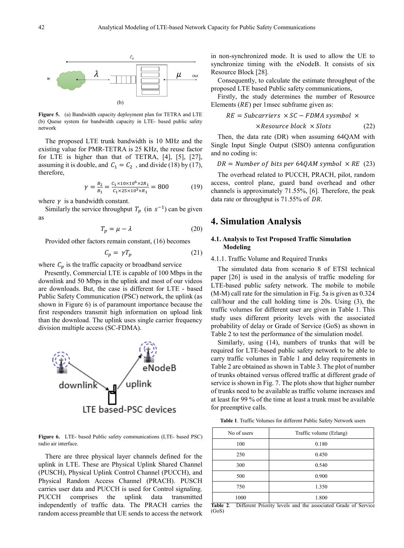

**Figure 5.** (a) Bandwidth capacity deployment plan for TETRA and LTE (b) Queue system for bandwidth capacity in LTE- based public safety network

The proposed LTE trunk bandwidth is 10 MHz and the existing value for PMR-TETRA is 25 KHz, the reuse factor for LTE is higher than that of TETRA, [4], [5], [27], assuming it is double, and  $C_1 = C_2$ , and divide (18) by (17), therefore,

$$
\gamma = \frac{B_2}{B_1} = \frac{C_1 \times 10 \times 10^6 \times 2R_1}{C_1 \times 25 \times 10^3 \times R_1} = 800\tag{19}
$$

where  $\gamma$  is a bandwidth constant.

Similarly the service throughput  $T_n$  (in  $s^{-1}$ ) can be given as

$$
T_p = \mu - \lambda \tag{20}
$$

Provided other factors remain constant, (16) becomes

$$
C_p = \gamma T_p \tag{21}
$$

where  $C_p$  is the traffic capacity or broadband service

Presently, Commercial LTE is capable of 100 Mbps in the downlink and 50 Mbps in the uplink and most of our videos are downloads. But, the case is different for LTE - based Public Safety Communication (PSC) network, the uplink (as shown in Figure 6) is of paramount importance because the first responders transmit high information on upload link than the download. The uplink uses single carrier frequency division multiple access (SC-FDMA).



**Figure 6.** LTE- based Public safety communications (LTE- based PSC) radio air interface.

There are three physical layer channels defined for the uplink in LTE. These are Physical Uplink Shared Channel (PUSCH), Physical Uplink Control Channel (PUCCH), and Physical Random Access Channel (PRACH). PUSCH carries user data and PUCCH is used for Control signaling. PUCCH comprises the uplink data transmitted independently of traffic data. The PRACH carries the random access preamble that UE sends to access the network in non-synchronized mode. It is used to allow the UE to synchronize timing with the eNodeB. It consists of six Resource Block [28].

Consequently, to calculate the estimate throughput of the proposed LTE based Public safety communications,

Firstly, the study determines the number of Resource Elements  $(RE)$  per 1msec subframe given as:

$$
RE = Subcarriers \times SC - FDMA symbol \times
$$

 $\times$  *Resource block*  $\times$  *Slots* (22)

Then, the data rate (DR) when assuming 64QAM with Single Input Single Output (SISO) antenna configuration and no coding is:

 $DR = Number of bits per 64QAM symbol \times RE$  (23)

The overhead related to PUCCH, PRACH, pilot, random access, control plane, guard band overhead and other channels is approximately 71.55%, [6]. Therefore, the peak data rate or throughput is  $71.55\%$  of DR.

# **4. Simulation Analysis**

### **4.1. Analysis to Test Proposed Traffic Simulation Modeling**

### 4.1.1. Traffic Volume and Required Trunks

The simulated data from scenario 8 of ETSI technical paper [26] is used in the analysis of traffic modeling for LTE-based public safety network. The mobile to mobile (M-M) call rate for the simulation in Fig. 5a is given as 0.324 call/hour and the call holding time is 20s. Using (3), the traffic volumes for different user are given in Table 1. This study uses different priority levels with the associated probability of delay or Grade of Service (GoS) as shown in Table 2 to test the performance of the simulation model.

Similarly, using (14), numbers of trunks that will be required for LTE-based public safety network to be able to carry traffic volumes in Table 1 and delay requirements in Table 2 are obtained as shown in Table 3. The plot of number of trunks obtained versus offered traffic at different grade of service is shown in Fig. 7. The plots show that higher number of trunks need to be available as traffic volume increases and at least for 99 % of the time at least a trunk must be available for preemptive calls.

**Table 1**. Traffic Volumes for different Public Safety Network users

| No of users | Traffic volume (Erlang) |  |  |  |
|-------------|-------------------------|--|--|--|
| 100         | 0.180                   |  |  |  |
| 250         | 0.450                   |  |  |  |
| 300         | 0.540                   |  |  |  |
| 500         | 0.900                   |  |  |  |
| 750         | 1.350                   |  |  |  |
| 1000        | 1.800                   |  |  |  |

**Table 2**. Different Priority levels and the associated Grade of Service (GoS)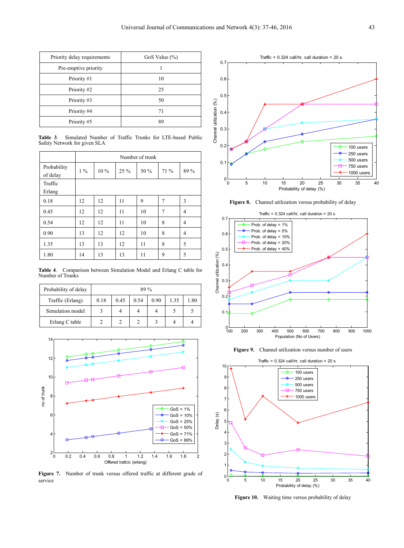| Priority delay requirements | GoS Value $(\%)$ |  |  |
|-----------------------------|------------------|--|--|
| Pre-emptive priority        |                  |  |  |
| Priority #1                 | 10               |  |  |
| Priority #2                 | 25               |  |  |
| Priority #3                 | 50               |  |  |
| Priority #4                 | 71               |  |  |
| Priority #5                 | 89               |  |  |

**Table 3**. Simulated Number of Traffic Trunks for LTE-based Public Safety Network for given SLA

|             | Number of trunk |        |        |      |        |      |  |
|-------------|-----------------|--------|--------|------|--------|------|--|
| Probability | $1\%$           | $10\%$ | $25\%$ | 50 % | $71\%$ | 89 % |  |
| of delay    |                 |        |        |      |        |      |  |
| Traffic     |                 |        |        |      |        |      |  |
| Erlang      |                 |        |        |      |        |      |  |
| 0.18        | 12              | 12     | 11     | 9    | 7      | 3    |  |
| 0.45        | 12              | 12     | 11     | 10   | $\tau$ | 4    |  |
| 0.54        | 12              | 12     | 11     | 10   | 8      | 4    |  |
| 0.90        | 13              | 12     | 12     | 10   | 8      | 4    |  |
| 1.35        | 13              | 13     | 12     | 11   | 8      | 5    |  |
| 1.80        | 14              | 13     | 13     | 11   | 9      | 5    |  |

**Table 4**. Comparison between Simulation Model and Erlang C table for Number of Trunks

| Probability of delay | $89\%$ |      |      |      |      |      |  |
|----------------------|--------|------|------|------|------|------|--|
| Traffic (Erlang)     | 0.18   | 0.45 | 0.54 | 0.90 | 1.35 | 1.80 |  |
| Simulation model     |        | 4    | 4    | 4    |      |      |  |
| Erlang C table       |        |      |      |      |      |      |  |



**Figure 7.** Number of trunk versus offered traffic at different grade of service



**Figure 8.** Channel utilization versus probability of delay



Figure 9. Channel utilization versus number of users



Figure 10. Waiting time versus probability of delay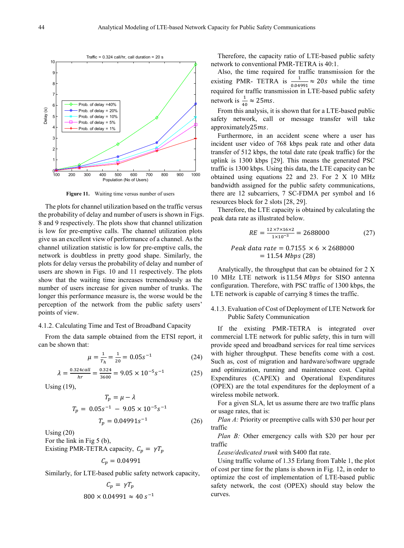

**Figure 11.** Waiting time versus number of users

The plots for channel utilization based on the traffic versus the probability of delay and number of users is shown in Figs. 8 and 9 respectively. The plots show that channel utilization is low for pre-emptive calls. The channel utilization plots give us an excellent view of performance of a channel. As the channel utilization statistic is low for pre-emptive calls, the network is doubtless in pretty good shape. Similarly, the plots for delay versus the probability of delay and number of users are shown in Figs. 10 and 11 respectively. The plots show that the waiting time increases tremendously as the number of users increase for given number of trunks. The longer this performance measure is, the worse would be the perception of the network from the public safety users' points of view.

# 4.1.2. Calculating Time and Test of Broadband Capacity

From the data sample obtained from the ETSI report, it can be shown that:

$$
\mu = \frac{1}{r_h} = \frac{1}{20} = 0.05s^{-1} \tag{24}
$$

$$
\lambda = \frac{0.324 \text{cal}}{\text{hr}} = \frac{0.324}{3600} = 9.05 \times 10^{-5} \text{s}^{-1} \tag{25}
$$

Using (19),

$$
T_p = \mu - \lambda
$$
  
\n
$$
T_p = 0.05s^{-1} - 9.05 \times 10^{-5} s^{-1}
$$
  
\n
$$
T_p = 0.04991s^{-1}
$$
 (26)

Using (20) For the link in Fig 5 (b), Existing PMR-TETRA capacity,  $C_p = \gamma T_p$ 

$$
C_p = 0.04991
$$

Similarly, for LTE-based public safety network capacity,

$$
C_p = \gamma T_p
$$

$$
800 \times 0.04991 \approx 40 s^{-1}
$$

Therefore, the capacity ratio of LTE-based public safety network to conventional PMR-TETRA is 40:1.

Also, the time required for traffic transmission for the existing PMR- TETRA is  $\frac{1}{0.04991} \approx 20s$  while the time required for traffic transmission in LTE-based public safety network is  $\frac{1}{40} \approx 25$ ms.

From this analysis, it is shown that for a LTE-based public safety network, call or message transfer will take approximately $25ms$ .

Furthermore, in an accident scene where a user has incident user video of 768 kbps peak rate and other data transfer of 512 kbps, the total date rate (peak traffic) for the uplink is 1300 kbps [29]. This means the generated PSC traffic is 1300 kbps. Using this data, the LTE capacity can be obtained using equations 22 and 23. For 2 X 10 MHz bandwidth assigned for the public safety communications, there are 12 subcarriers, 7 SC-FDMA per symbol and 16 resources block for 2 slots [28, 29].

Therefore, the LTE capacity is obtained by calculating the peak data rate as illustrated below.

$$
RE = \frac{12 \times 7 \times 16 \times 2}{1 \times 10^{-3}} = 2688000
$$
 (27)

$$
Peak data rate = 0.7155 \times 6 \times 2688000 = 11.54 \, Mbps (28)
$$

Analytically, the throughput that can be obtained for 2 X 10 MHz LTE network is 11.54 Mbps for SISO antenna configuration. Therefore, with PSC traffic of 1300 kbps, the LTE network is capable of carrying 8 times the traffic.

### 4.1.3. Evaluation of Cost of Deployment of LTE Network for Public Safety Communication

If the existing PMR-TETRA is integrated over commercial LTE network for public safety, this in turn will provide speed and broadband services for real time services with higher throughput. These benefits come with a cost. Such as, cost of migration and hardware/software upgrade and optimization, running and maintenance cost. Capital Expenditures (CAPEX) and Operational Expenditures (OPEX) are the total expenditures for the deployment of a wireless mobile network.

For a given SLA, let us assume there are two traffic plans or usage rates, that is:

*Plan A:* Priority or preemptive calls with \$30 per hour per traffic

*Plan B:* Other emergency calls with \$20 per hour per traffic

*Lease/dedicated trunk* with \$400 flat rate.

Using traffic volume of 1.35 Erlang from Table 1, the plot of cost per time for the plans is shown in Fig. 12, in order to optimize the cost of implementation of LTE-based public safety network, the cost (OPEX) should stay below the curves.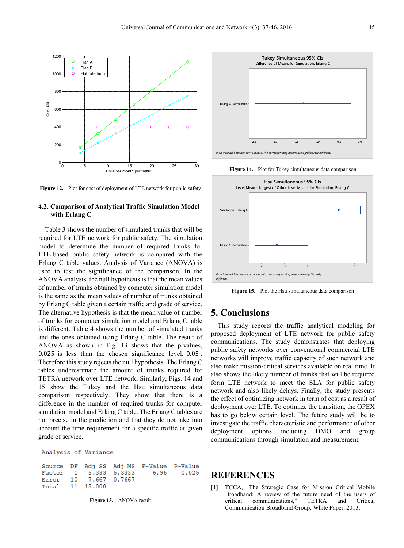

**Figure 12.** Plot for cost of deployment of LTE network for public safety

# **4.2. Comparison of Analytical Traffic Simulation Model with Erlang C**

Table 3 shows the number of simulated trunks that will be required for LTE network for public safety. The simulation model to determine the number of required trunks for LTE-based public safety network is compared with the Erlang C table values. Analysis of Variance (ANOVA) is used to test the significance of the comparison. In the ANOVA analysis, the null hypothesis is that the mean values of number of trunks obtained by computer simulation model is the same as the mean values of number of trunks obtained by Erlang C table given a certain traffic and grade of service. The alternative hypothesis is that the mean value of number of trunks for computer simulation model and Erlang C table is different. Table 4 shows the number of simulated trunks and the ones obtained using Erlang C table. The result of ANOVA as shown in Fig. 13 shows that the p-values, 0.025 is less than the chosen significance level, 0.05 . Therefore this study rejects the null hypothesis. The Erlang C tables underestimate the amount of trunks required for TETRA network over LTE network. Similarly, Figs. 14 and 15 show the Tukey and the Hsu simultaneous data comparison respectively. They show that there is a difference in the number of required trunks for computer simulation model and Erlang C table. The Erlang C tables are not precise in the prediction and that they do not take into account the time requirement for a specific traffic at given grade of service.

Analysis of Variance

Adj MS P-Value DF Adj SS F-Value Source 5.333 5.3333 6.96  $0.025$ Factor 1 Error  $10$ 7.667 0.7667 13.000 11 Total

**Figure 13.** ANOVA result



**Figure 14.** Plot for Tukey simultaneous data comparison



**Figure 15.** Plot the Hsu simultaneous data comparison

# **5. Conclusions**

This study reports the traffic analytical modeling for proposed deployment of LTE network for public safety communications. The study demonstrates that deploying public safety networks over conventional commercial LTE networks will improve traffic capacity of such network and also make mission-critical services available on real time. It also shows the likely number of trunks that will be required form LTE network to meet the SLA for public safety network and also likely delays. Finally, the study presents the effect of optimizing network in term of cost as a result of deployment over LTE. To optimize the transition, the OPEX has to go below certain level. The future study will be to investigate the traffic characteristic and performance of other deployment options including DMO and group communications through simulation and measurement.

# **REFERENCES**

[1] TCCA, "The Strategic Case for Mission Critical Mobile Broadband: A review of the future need of the users of critical communications," TETRA and Critical Communication Broadband Group, White Paper, 2013.